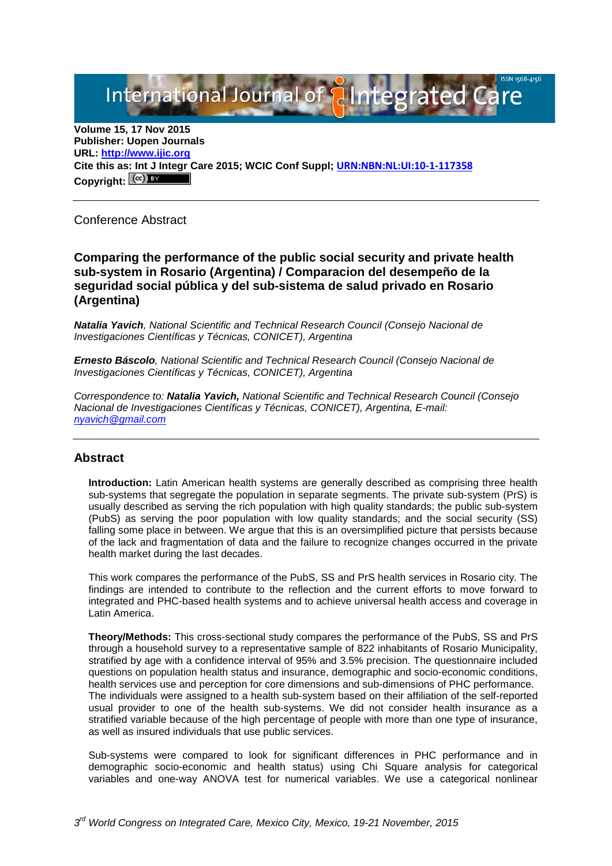International Journal of **Plntegrated Ca** 

**Volume 15, 17 Nov 2015 Publisher: Uopen Journals URL: [http://www.ijic.org](http://www.ijic.org/) Cite this as: Int J Integr Care 2015; WCIC Conf Suppl; [URN:NBN:NL:UI:10-1-117358](http://persistent-identifier.nl/?identifier=URN:NBN:NL:UI:10-1-117358)** Copyright:  $(cc)$ 

Conference Abstract

## **Comparing the performance of the public social security and private health sub-system in Rosario (Argentina) / Comparacion del desempeño de la seguridad social pública y del sub-sistema de salud privado en Rosario (Argentina)**

*Natalia Yavich, National Scientific and Technical Research Council (Consejo Nacional de Investigaciones Científicas y Técnicas, CONICET), Argentina*

*Ernesto Báscolo, National Scientific and Technical Research Council (Consejo Nacional de Investigaciones Científicas y Técnicas, CONICET), Argentina*

*Correspondence to: Natalia Yavich, National Scientific and Technical Research Council (Consejo Nacional de Investigaciones Científicas y Técnicas, CONICET), Argentina, E-mail: [nyavich@gmail.com](mailto:nyavich@gmail.com)*

#### **Abstract**

**Introduction:** Latin American health systems are generally described as comprising three health sub-systems that segregate the population in separate segments. The private sub-system (PrS) is usually described as serving the rich population with high quality standards; the public sub-system (PubS) as serving the poor population with low quality standards; and the social security (SS) falling some place in between. We argue that this is an oversimplified picture that persists because of the lack and fragmentation of data and the failure to recognize changes occurred in the private health market during the last decades.

This work compares the performance of the PubS, SS and PrS health services in Rosario city. The findings are intended to contribute to the reflection and the current efforts to move forward to integrated and PHC-based health systems and to achieve universal health access and coverage in Latin America.

**Theory/Methods:** This cross-sectional study compares the performance of the PubS, SS and PrS through a household survey to a representative sample of 822 inhabitants of Rosario Municipality, stratified by age with a confidence interval of 95% and 3.5% precision. The questionnaire included questions on population health status and insurance, demographic and socio-economic conditions, health services use and perception for core dimensions and sub-dimensions of PHC performance. The individuals were assigned to a health sub-system based on their affiliation of the self-reported usual provider to one of the health sub-systems. We did not consider health insurance as a stratified variable because of the high percentage of people with more than one type of insurance, as well as insured individuals that use public services.

Sub-systems were compared to look for significant differences in PHC performance and in demographic socio-economic and health status) using Chi Square analysis for categorical variables and one-way ANOVA test for numerical variables. We use a categorical nonlinear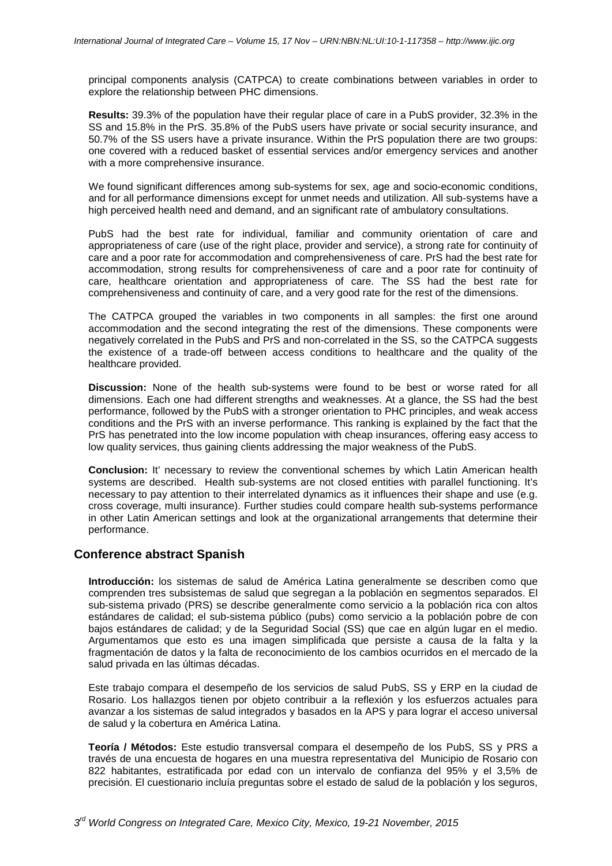principal components analysis (CATPCA) to create combinations between variables in order to explore the relationship between PHC dimensions.

**Results:** 39.3% of the population have their regular place of care in a PubS provider, 32.3% in the SS and 15.8% in the PrS. 35.8% of the PubS users have private or social security insurance, and 50.7% of the SS users have a private insurance. Within the PrS population there are two groups: one covered with a reduced basket of essential services and/or emergency services and another with a more comprehensive insurance.

We found significant differences among sub-systems for sex, age and socio-economic conditions, and for all performance dimensions except for unmet needs and utilization. All sub-systems have a high perceived health need and demand, and an significant rate of ambulatory consultations.

PubS had the best rate for individual, familiar and community orientation of care and appropriateness of care (use of the right place, provider and service), a strong rate for continuity of care and a poor rate for accommodation and comprehensiveness of care. PrS had the best rate for accommodation, strong results for comprehensiveness of care and a poor rate for continuity of care, healthcare orientation and appropriateness of care. The SS had the best rate for comprehensiveness and continuity of care, and a very good rate for the rest of the dimensions.

The CATPCA grouped the variables in two components in all samples: the first one around accommodation and the second integrating the rest of the dimensions. These components were negatively correlated in the PubS and PrS and non-correlated in the SS, so the CATPCA suggests the existence of a trade-off between access conditions to healthcare and the quality of the healthcare provided.

**Discussion:** None of the health sub-systems were found to be best or worse rated for all dimensions. Each one had different strengths and weaknesses. At a glance, the SS had the best performance, followed by the PubS with a stronger orientation to PHC principles, and weak access conditions and the PrS with an inverse performance. This ranking is explained by the fact that the PrS has penetrated into the low income population with cheap insurances, offering easy access to low quality services, thus gaining clients addressing the major weakness of the PubS.

**Conclusion:** It' necessary to review the conventional schemes by which Latin American health systems are described. Health sub-systems are not closed entities with parallel functioning. It's necessary to pay attention to their interrelated dynamics as it influences their shape and use (e.g. cross coverage, multi insurance). Further studies could compare health sub-systems performance in other Latin American settings and look at the organizational arrangements that determine their performance.

## **Conference abstract Spanish**

**Introducción:** los sistemas de salud de América Latina generalmente se describen como que comprenden tres subsistemas de salud que segregan a la población en segmentos separados. El sub-sistema privado (PRS) se describe generalmente como servicio a la población rica con altos estándares de calidad; el sub-sistema público (pubs) como servicio a la población pobre de con bajos estándares de calidad; y de la Seguridad Social (SS) que cae en algún lugar en el medio. Argumentamos que esto es una imagen simplificada que persiste a causa de la falta y la fragmentación de datos y la falta de reconocimiento de los cambios ocurridos en el mercado de la salud privada en las últimas décadas.

Este trabajo compara el desempeño de los servicios de salud PubS, SS y ERP en la ciudad de Rosario. Los hallazgos tienen por objeto contribuir a la reflexión y los esfuerzos actuales para avanzar a los sistemas de salud integrados y basados en la APS y para lograr el acceso universal de salud y la cobertura en América Latina.

**Teoría / Métodos:** Este estudio transversal compara el desempeño de los PubS, SS y PRS a través de una encuesta de hogares en una muestra representativa del Municipio de Rosario con 822 habitantes, estratificada por edad con un intervalo de confianza del 95% y el 3,5% de precisión. El cuestionario incluía preguntas sobre el estado de salud de la población y los seguros,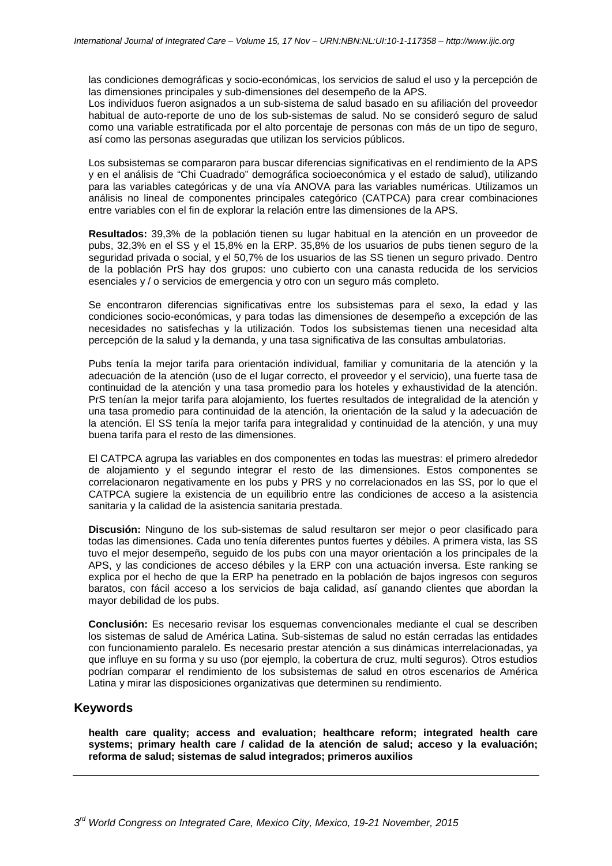las condiciones demográficas y socio-económicas, los servicios de salud el uso y la percepción de las dimensiones principales y sub-dimensiones del desempeño de la APS.

Los individuos fueron asignados a un sub-sistema de salud basado en su afiliación del proveedor habitual de auto-reporte de uno de los sub-sistemas de salud. No se consideró seguro de salud como una variable estratificada por el alto porcentaje de personas con más de un tipo de seguro, así como las personas aseguradas que utilizan los servicios públicos.

Los subsistemas se compararon para buscar diferencias significativas en el rendimiento de la APS y en el análisis de "Chi Cuadrado" demográfica socioeconómica y el estado de salud), utilizando para las variables categóricas y de una vía ANOVA para las variables numéricas. Utilizamos un análisis no lineal de componentes principales categórico (CATPCA) para crear combinaciones entre variables con el fin de explorar la relación entre las dimensiones de la APS.

**Resultados:** 39,3% de la población tienen su lugar habitual en la atención en un proveedor de pubs, 32,3% en el SS y el 15,8% en la ERP. 35,8% de los usuarios de pubs tienen seguro de la seguridad privada o social, y el 50,7% de los usuarios de las SS tienen un seguro privado. Dentro de la población PrS hay dos grupos: uno cubierto con una canasta reducida de los servicios esenciales y / o servicios de emergencia y otro con un seguro más completo.

Se encontraron diferencias significativas entre los subsistemas para el sexo, la edad y las condiciones socio-económicas, y para todas las dimensiones de desempeño a excepción de las necesidades no satisfechas y la utilización. Todos los subsistemas tienen una necesidad alta percepción de la salud y la demanda, y una tasa significativa de las consultas ambulatorias.

Pubs tenía la mejor tarifa para orientación individual, familiar y comunitaria de la atención y la adecuación de la atención (uso de el lugar correcto, el proveedor y el servicio), una fuerte tasa de continuidad de la atención y una tasa promedio para los hoteles y exhaustividad de la atención. PrS tenían la mejor tarifa para alojamiento, los fuertes resultados de integralidad de la atención y una tasa promedio para continuidad de la atención, la orientación de la salud y la adecuación de la atención. El SS tenía la mejor tarifa para integralidad y continuidad de la atención, y una muy buena tarifa para el resto de las dimensiones.

El CATPCA agrupa las variables en dos componentes en todas las muestras: el primero alrededor de alojamiento y el segundo integrar el resto de las dimensiones. Estos componentes se correlacionaron negativamente en los pubs y PRS y no correlacionados en las SS, por lo que el CATPCA sugiere la existencia de un equilibrio entre las condiciones de acceso a la asistencia sanitaria y la calidad de la asistencia sanitaria prestada.

**Discusión:** Ninguno de los sub-sistemas de salud resultaron ser mejor o peor clasificado para todas las dimensiones. Cada uno tenía diferentes puntos fuertes y débiles. A primera vista, las SS tuvo el mejor desempeño, seguido de los pubs con una mayor orientación a los principales de la APS, y las condiciones de acceso débiles y la ERP con una actuación inversa. Este ranking se explica por el hecho de que la ERP ha penetrado en la población de bajos ingresos con seguros baratos, con fácil acceso a los servicios de baja calidad, así ganando clientes que abordan la mayor debilidad de los pubs.

**Conclusión:** Es necesario revisar los esquemas convencionales mediante el cual se describen los sistemas de salud de América Latina. Sub-sistemas de salud no están cerradas las entidades con funcionamiento paralelo. Es necesario prestar atención a sus dinámicas interrelacionadas, ya que influye en su forma y su uso (por ejemplo, la cobertura de cruz, multi seguros). Otros estudios podrían comparar el rendimiento de los subsistemas de salud en otros escenarios de América Latina y mirar las disposiciones organizativas que determinen su rendimiento.

## **Keywords**

**health care quality; access and evaluation; healthcare reform; integrated health care systems; primary health care / calidad de la atención de salud; acceso y la evaluación; reforma de salud; sistemas de salud integrados; primeros auxilios**